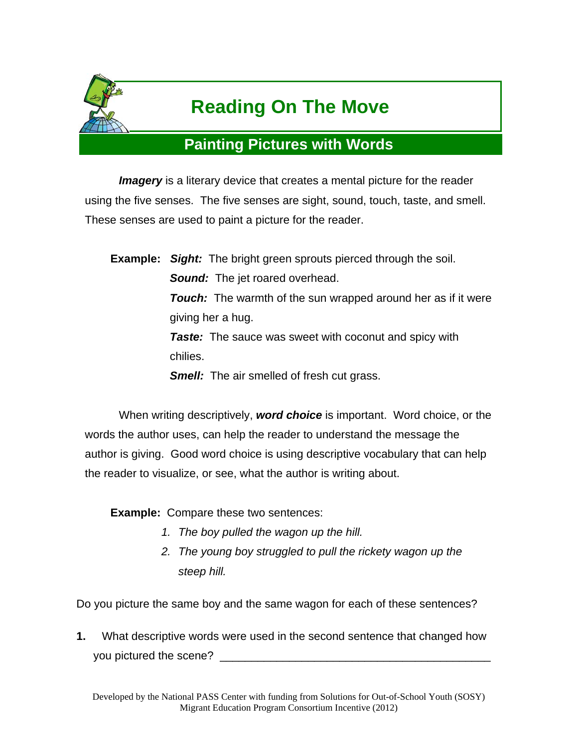

# **Reading On The Move**

## **Painting Pictures with Words**

*Imagery* is a literary device that creates a mental picture for the reader using the five senses. The five senses are sight, sound, touch, taste, and smell. These senses are used to paint a picture for the reader.

**Example:** *Sight:* The bright green sprouts pierced through the soil. *Sound:* The jet roared overhead. *Touch:* The warmth of the sun wrapped around her as if it were giving her a hug. *Taste:* The sauce was sweet with coconut and spicy with chilies. *Smell:* The air smelled of fresh cut grass.

 When writing descriptively, *word choice* is important. Word choice, or the words the author uses, can help the reader to understand the message the author is giving. Good word choice is using descriptive vocabulary that can help the reader to visualize, or see, what the author is writing about.

**Example:** Compare these two sentences:

- *1. The boy pulled the wagon up the hill.*
- *2. The young boy struggled to pull the rickety wagon up the steep hill.*

Do you picture the same boy and the same wagon for each of these sentences?

**1.** What descriptive words were used in the second sentence that changed how you pictured the scene?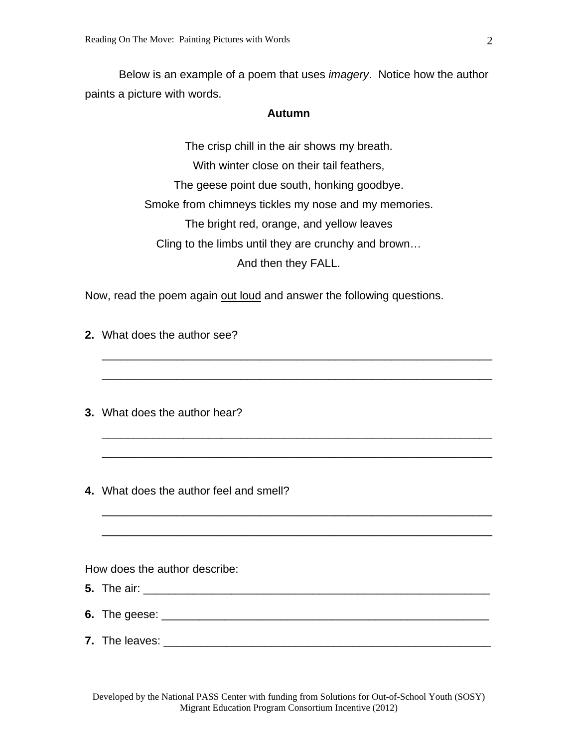Below is an example of a poem that uses *imagery*. Notice how the author paints a picture with words.

#### **Autumn**

The crisp chill in the air shows my breath. With winter close on their tail feathers, The geese point due south, honking goodbye. Smoke from chimneys tickles my nose and my memories. The bright red, orange, and yellow leaves Cling to the limbs until they are crunchy and brown… And then they FALL.

\_\_\_\_\_\_\_\_\_\_\_\_\_\_\_\_\_\_\_\_\_\_\_\_\_\_\_\_\_\_\_\_\_\_\_\_\_\_\_\_\_\_\_\_\_\_\_\_\_\_\_\_\_\_\_\_\_\_\_\_\_\_

\_\_\_\_\_\_\_\_\_\_\_\_\_\_\_\_\_\_\_\_\_\_\_\_\_\_\_\_\_\_\_\_\_\_\_\_\_\_\_\_\_\_\_\_\_\_\_\_\_\_\_\_\_\_\_\_\_\_\_\_\_\_

\_\_\_\_\_\_\_\_\_\_\_\_\_\_\_\_\_\_\_\_\_\_\_\_\_\_\_\_\_\_\_\_\_\_\_\_\_\_\_\_\_\_\_\_\_\_\_\_\_\_\_\_\_\_\_\_\_\_\_\_\_\_

\_\_\_\_\_\_\_\_\_\_\_\_\_\_\_\_\_\_\_\_\_\_\_\_\_\_\_\_\_\_\_\_\_\_\_\_\_\_\_\_\_\_\_\_\_\_\_\_\_\_\_\_\_\_\_\_\_\_\_\_\_\_

\_\_\_\_\_\_\_\_\_\_\_\_\_\_\_\_\_\_\_\_\_\_\_\_\_\_\_\_\_\_\_\_\_\_\_\_\_\_\_\_\_\_\_\_\_\_\_\_\_\_\_\_\_\_\_\_\_\_\_\_\_\_

\_\_\_\_\_\_\_\_\_\_\_\_\_\_\_\_\_\_\_\_\_\_\_\_\_\_\_\_\_\_\_\_\_\_\_\_\_\_\_\_\_\_\_\_\_\_\_\_\_\_\_\_\_\_\_\_\_\_\_\_\_\_

Now, read the poem again out loud and answer the following questions.

- **2.** What does the author see?
- **3.** What does the author hear?
- **4.** What does the author feel and smell?

How does the author describe:

- **5.** The air: \_\_\_\_\_\_\_\_\_\_\_\_\_\_\_\_\_\_\_\_\_\_\_\_\_\_\_\_\_\_\_\_\_\_\_\_\_\_\_\_\_\_\_\_\_\_\_\_\_\_\_\_\_\_\_
- **6.** The geese: \_\_\_\_\_\_\_\_\_\_\_\_\_\_\_\_\_\_\_\_\_\_\_\_\_\_\_\_\_\_\_\_\_\_\_\_\_\_\_\_\_\_\_\_\_\_\_\_\_\_\_\_
- **7.** The leaves: \_\_\_\_\_\_\_\_\_\_\_\_\_\_\_\_\_\_\_\_\_\_\_\_\_\_\_\_\_\_\_\_\_\_\_\_\_\_\_\_\_\_\_\_\_\_\_\_\_\_\_\_

Developed by the National PASS Center with funding from Solutions for Out-of-School Youth (SOSY) Migrant Education Program Consortium Incentive (2012)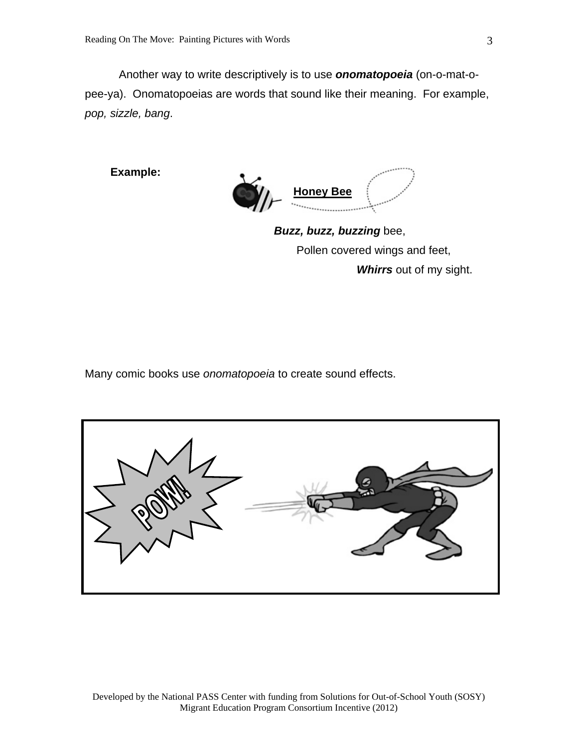Another way to write descriptively is to use *onomatopoeia* (on-o-mat-opee-ya). Onomatopoeias are words that sound like their meaning. For example, *pop, sizzle, bang*.

**Example:** 



 *Buzz, buzz, buzzing* bee, Pollen covered wings and feet,  *Whirrs* out of my sight.

Many comic books use *onomatopoeia* to create sound effects.

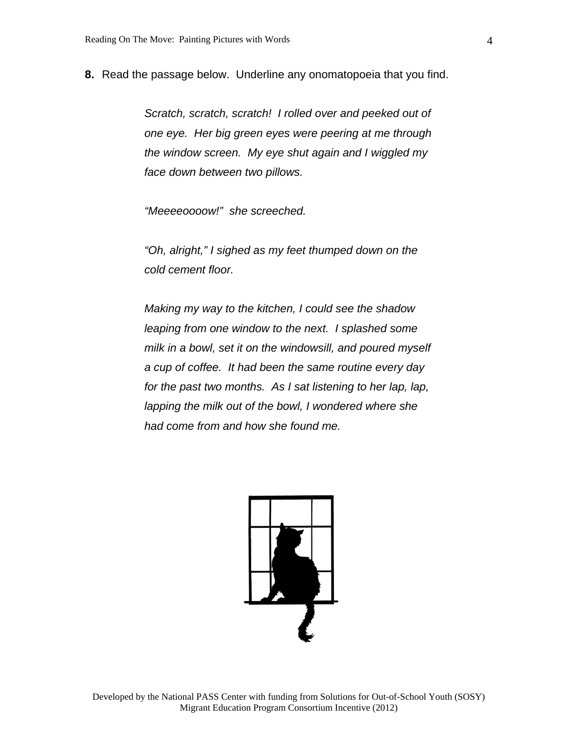**8.** Read the passage below. Underline any onomatopoeia that you find.

*Scratch, scratch, scratch! I rolled over and peeked out of one eye. Her big green eyes were peering at me through the window screen. My eye shut again and I wiggled my face down between two pillows.* 

*"Meeeeoooow!" she screeched.* 

*"Oh, alright," I sighed as my feet thumped down on the cold cement floor.* 

*Making my way to the kitchen, I could see the shadow leaping from one window to the next. I splashed some milk in a bowl, set it on the windowsill, and poured myself a cup of coffee. It had been the same routine every day for the past two months. As I sat listening to her lap, lap, lapping the milk out of the bowl, I wondered where she had come from and how she found me.* 

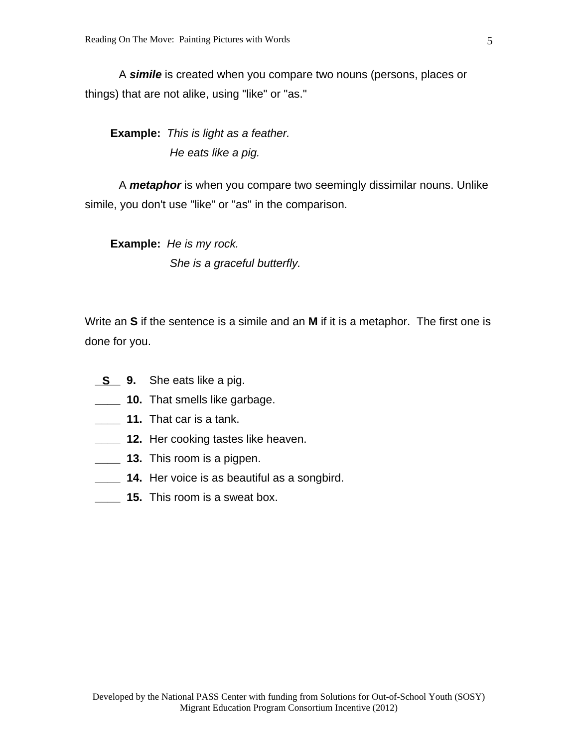A *simile* is created when you compare two nouns (persons, places or things) that are not alike, using "like" or "as."

**Example:** *This is light as a feather. He eats like a pig.*

 A *metaphor* is when you compare two seemingly dissimilar nouns. Unlike simile, you don't use "like" or "as" in the comparison.

**Example:** *He is my rock. She is a graceful butterfly.*

Write an **S** if the sentence is a simile and an **M** if it is a metaphor. The first one is done for you.

- She eats like a pig. **S**
- **10.** That smells like garbage.
- **\_\_\_\_ 11.** That car is a tank.
- **12.** Her cooking tastes like heaven.
- **\_\_\_\_ 13.** This room is a pigpen.
	- **\_\_\_\_ 14.** Her voice is as beautiful as a songbird.
- **15.** This room is a sweat box.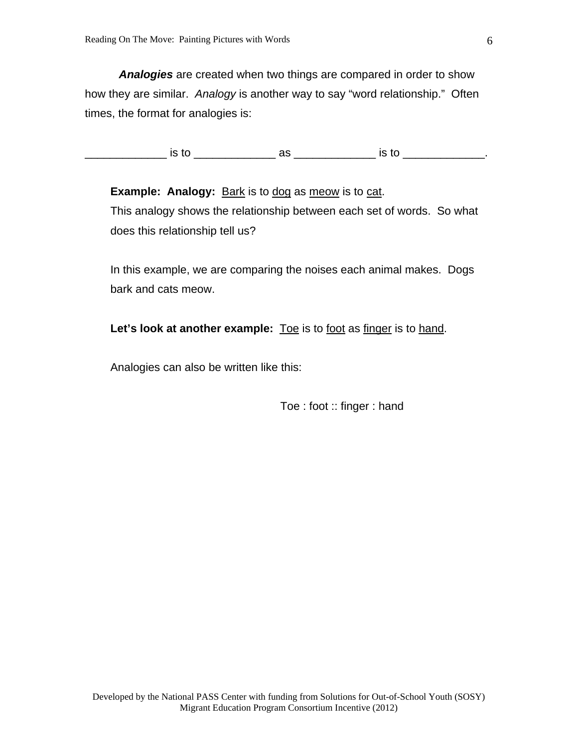*Analogies* are created when two things are compared in order to show how they are similar. *Analogy* is another way to say "word relationship." Often times, the format for analogies is:

\_\_\_\_\_\_\_\_\_\_\_\_\_ is to \_\_\_\_\_\_\_\_\_\_\_\_\_ as \_\_\_\_\_\_\_\_\_\_\_\_\_ is to \_\_\_\_\_\_\_\_\_\_\_\_\_.

**Example: Analogy:** Bark is to dog as meow is to cat. This analogy shows the relationship between each set of words. So what does this relationship tell us?

In this example, we are comparing the noises each animal makes. Dogs bark and cats meow.

Let's look at another example: **Toe is to foot as finger is to hand.** 

Analogies can also be written like this:

Toe : foot :: finger : hand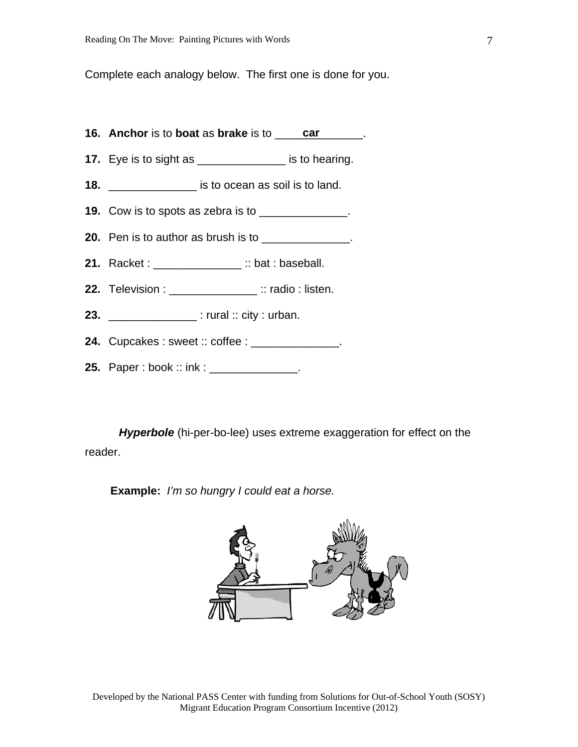Complete each analogy below. The first one is done for you.

- **16. Anchor** is to **boat** as **brake** is to \_\_\_\_\_\_\_\_\_\_\_\_\_\_. **car**
- **17.** Eye is to sight as \_\_\_\_\_\_\_\_\_\_\_\_\_\_ is to hearing.

**18.** \_\_\_\_\_\_\_\_\_\_\_\_\_\_ is to ocean as soil is to land.

- **19.** Cow is to spots as zebra is to \_\_\_\_\_\_\_\_\_\_\_\_\_.
- **20.** Pen is to author as brush is to \_\_\_\_\_\_\_\_\_\_\_\_\_\_.
- **21.** Racket : \_\_\_\_\_\_\_\_\_\_\_\_\_\_ :: bat : baseball.
- **22.** Television : \_\_\_\_\_\_\_\_\_\_\_\_\_\_ :: radio : listen.
- **23.** \_\_\_\_\_\_\_\_\_\_\_\_\_\_ : rural :: city : urban.
- **24.** Cupcakes : sweet :: coffee : \_\_\_\_\_\_\_\_\_\_\_\_\_\_.
- **25.** Paper : book :: ink : \_\_\_\_\_\_\_\_\_\_\_\_\_\_\_.

 *Hyperbole* (hi-per-bo-lee) uses extreme exaggeration for effect on the reader.

**Example:** *I'm so hungry I could eat a horse.* 

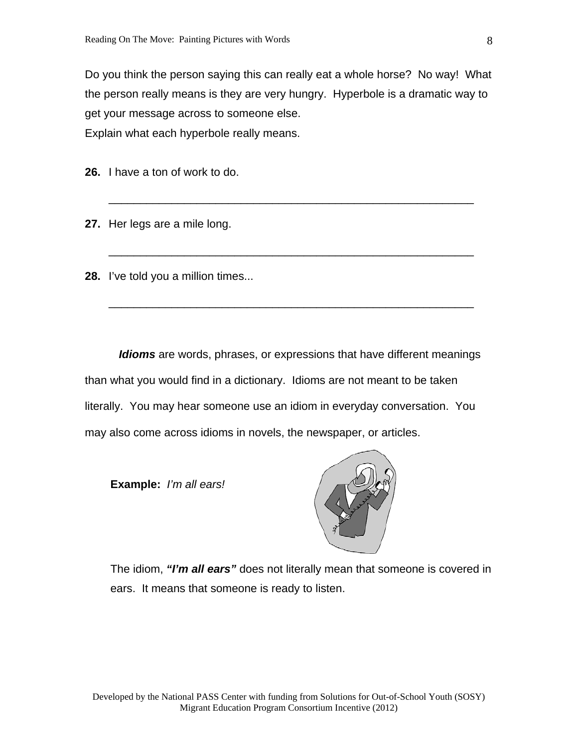Do you think the person saying this can really eat a whole horse? No way! What the person really means is they are very hungry. Hyperbole is a dramatic way to get your message across to someone else. Explain what each hyperbole really means.

\_\_\_\_\_\_\_\_\_\_\_\_\_\_\_\_\_\_\_\_\_\_\_\_\_\_\_\_\_\_\_\_\_\_\_\_\_\_\_\_\_\_\_\_\_\_\_\_\_\_\_\_\_\_\_\_\_\_

\_\_\_\_\_\_\_\_\_\_\_\_\_\_\_\_\_\_\_\_\_\_\_\_\_\_\_\_\_\_\_\_\_\_\_\_\_\_\_\_\_\_\_\_\_\_\_\_\_\_\_\_\_\_\_\_\_\_

\_\_\_\_\_\_\_\_\_\_\_\_\_\_\_\_\_\_\_\_\_\_\_\_\_\_\_\_\_\_\_\_\_\_\_\_\_\_\_\_\_\_\_\_\_\_\_\_\_\_\_\_\_\_\_\_\_\_

**26.** I have a ton of work to do.

**27.** Her legs are a mile long.

**28.** I've told you a million times...

 *Idioms* are words, phrases, or expressions that have different meanings than what you would find in a dictionary. Idioms are not meant to be taken literally. You may hear someone use an idiom in everyday conversation. You may also come across idioms in novels, the newspaper, or articles.

**Example:** *I'm all ears!*



The idiom, *"I'm all ears"* does not literally mean that someone is covered in ears. It means that someone is ready to listen.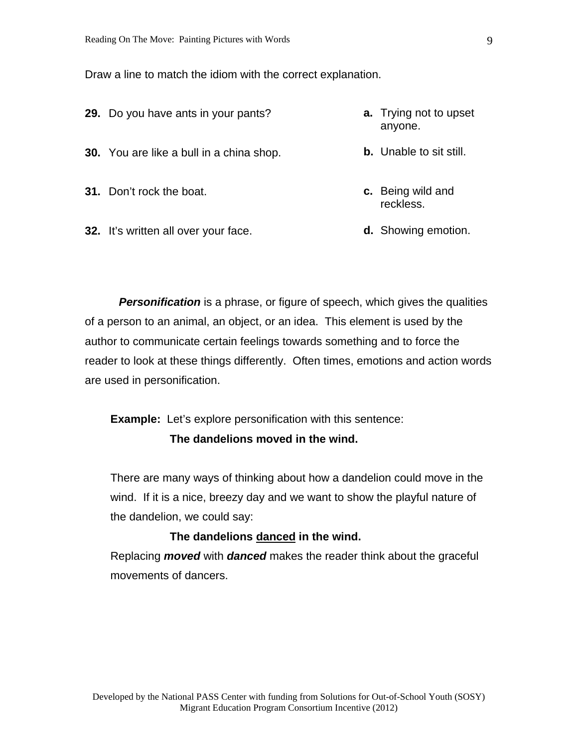Draw a line to match the idiom with the correct explanation.

- **29.** Do you have ants in your pants? **30.** You are like a bull in a china shop. **a.** Trying not to upset anyone. **b.** Unable to sit still.
- **31.** Don't rock the boat.
- **32.** It's written all over your face.
- **c.** Being wild and reckless.
- **d.** Showing emotion.

**Personification** is a phrase, or figure of speech, which gives the qualities of a person to an animal, an object, or an idea. This element is used by the author to communicate certain feelings towards something and to force the reader to look at these things differently. Often times, emotions and action words are used in personification.

**Example:** Let's explore personification with this sentence: **The dandelions moved in the wind.**

There are many ways of thinking about how a dandelion could move in the wind. If it is a nice, breezy day and we want to show the playful nature of the dandelion, we could say:

#### **The dandelions danced in the wind.**

Replacing *moved* with *danced* makes the reader think about the graceful movements of dancers.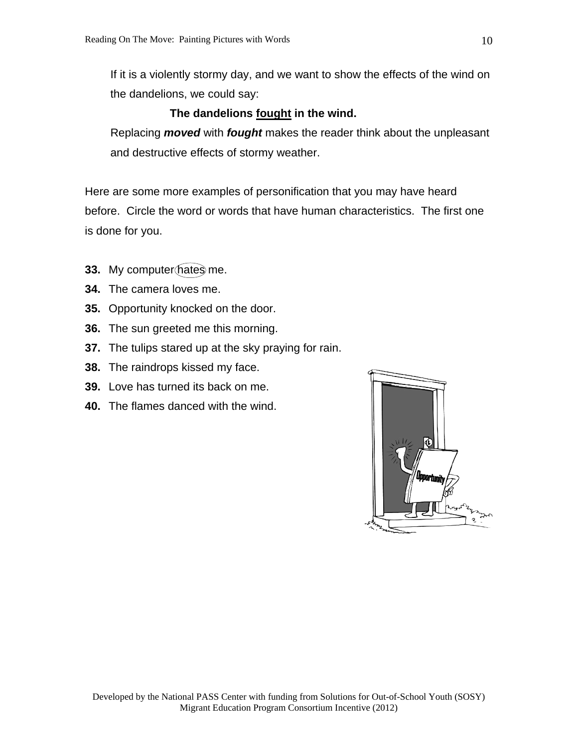If it is a violently stormy day, and we want to show the effects of the wind on the dandelions, we could say:

### **The dandelions fought in the wind.**

Replacing *moved* with *fought* makes the reader think about the unpleasant and destructive effects of stormy weather.

Here are some more examples of personification that you may have heard before. Circle the word or words that have human characteristics. The first one is done for you.

- **33.** My computer hates me.
- **34.** The camera loves me.
- **35.** Opportunity knocked on the door.
- **36.** The sun greeted me this morning.
- **37.** The tulips stared up at the sky praying for rain.
- **38.** The raindrops kissed my face.
- **39.** Love has turned its back on me.
- **40.** The flames danced with the wind.

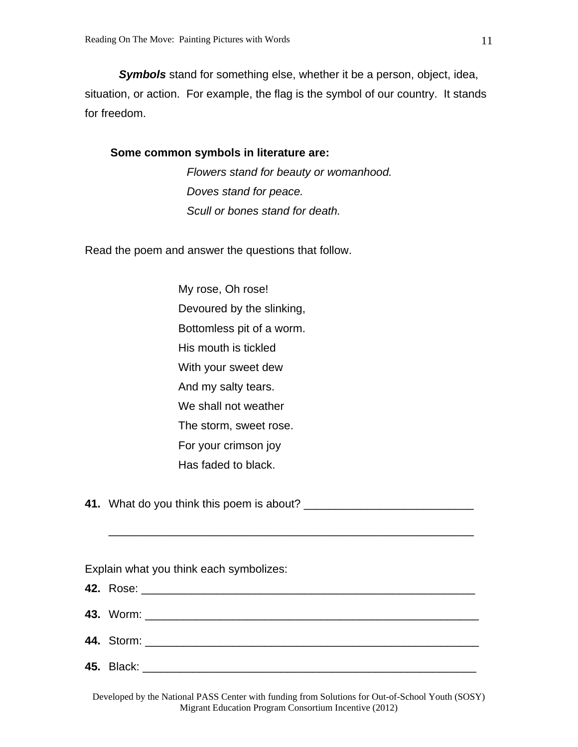*Symbols* stand for something else, whether it be a person, object, idea, situation, or action. For example, the flag is the symbol of our country. It stands for freedom.

#### **Some common symbols in literature are:**

*Flowers stand for beauty or womanhood. Doves stand for peace. Scull or bones stand for death.* 

Read the poem and answer the questions that follow.

My rose, Oh rose! Devoured by the slinking, Bottomless pit of a worm. His mouth is tickled With your sweet dew And my salty tears. We shall not weather The storm, sweet rose. For your crimson joy Has faded to black.

**41.** What do you think this poem is about? \_\_\_\_\_\_\_\_\_\_\_\_\_\_\_\_\_\_\_\_\_\_\_\_\_\_\_

Explain what you think each symbolizes:

\_\_\_\_\_\_\_\_\_\_\_\_\_\_\_\_\_\_\_\_\_\_\_\_\_\_\_\_\_\_\_\_\_\_\_\_\_\_\_\_\_\_\_\_\_\_\_\_\_\_\_\_\_\_\_\_\_\_

Developed by the National PASS Center with funding from Solutions for Out-of-School Youth (SOSY) Migrant Education Program Consortium Incentive (2012)